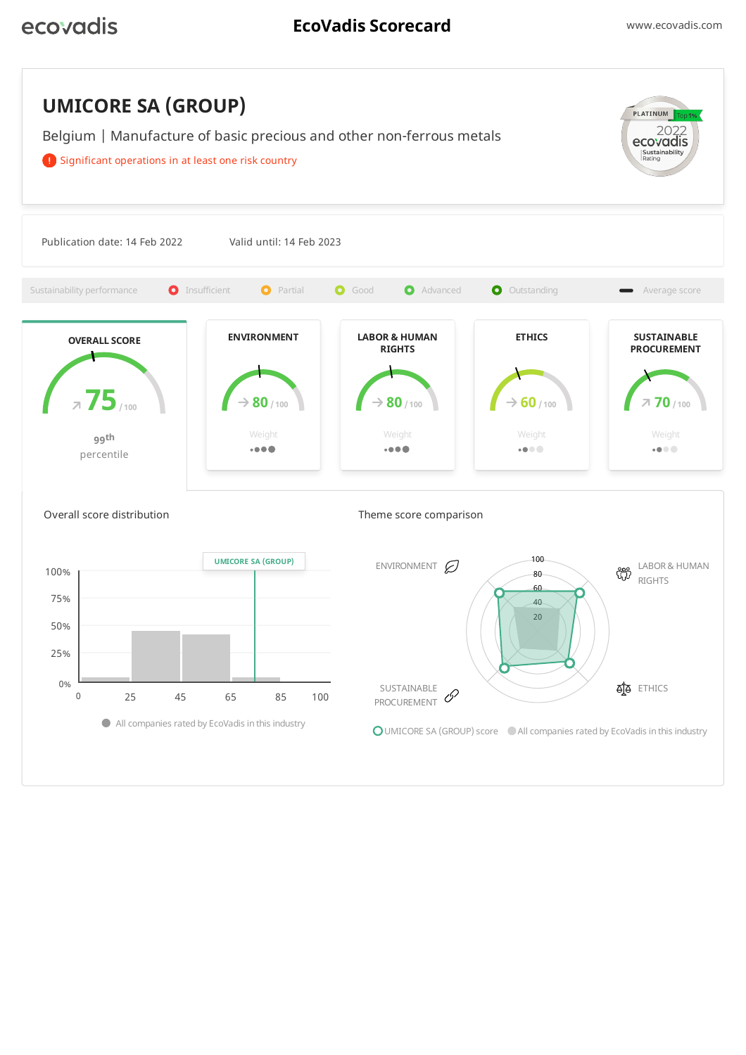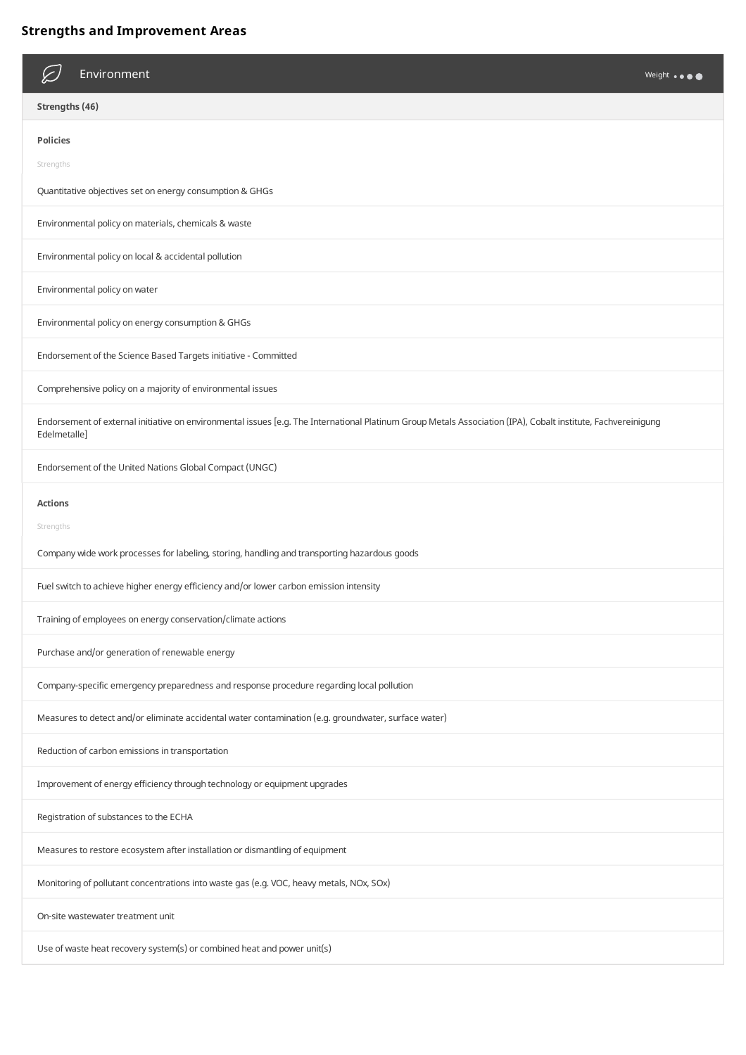# **Strengths and Improvement Areas**

| Environment<br>Weight                                                                                                                                                         |  |
|-------------------------------------------------------------------------------------------------------------------------------------------------------------------------------|--|
| Strengths (46)                                                                                                                                                                |  |
| <b>Policies</b>                                                                                                                                                               |  |
| Strengths                                                                                                                                                                     |  |
| Quantitative objectives set on energy consumption & GHGs                                                                                                                      |  |
| Environmental policy on materials, chemicals & waste                                                                                                                          |  |
| Environmental policy on local & accidental pollution                                                                                                                          |  |
| Environmental policy on water                                                                                                                                                 |  |
| Environmental policy on energy consumption & GHGs                                                                                                                             |  |
| Endorsement of the Science Based Targets initiative - Committed                                                                                                               |  |
| Comprehensive policy on a majority of environmental issues                                                                                                                    |  |
| Endorsement of external initiative on environmental issues [e.g. The International Platinum Group Metals Association (IPA), Cobalt institute, Fachvereinigung<br>Edelmetalle] |  |
| Endorsement of the United Nations Global Compact (UNGC)                                                                                                                       |  |
| <b>Actions</b>                                                                                                                                                                |  |
| Strengths                                                                                                                                                                     |  |
| Company wide work processes for labeling, storing, handling and transporting hazardous goods                                                                                  |  |
| Fuel switch to achieve higher energy efficiency and/or lower carbon emission intensity                                                                                        |  |
| Training of employees on energy conservation/climate actions                                                                                                                  |  |
| Purchase and/or generation of renewable energy                                                                                                                                |  |
| Company-specific emergency preparedness and response procedure regarding local pollution                                                                                      |  |
| Measures to detect and/or eliminate accidental water contamination (e.g. groundwater, surface water)                                                                          |  |
| Reduction of carbon emissions in transportation                                                                                                                               |  |
| Improvement of energy efficiency through technology or equipment upgrades                                                                                                     |  |
| Registration of substances to the ECHA                                                                                                                                        |  |
| Measures to restore ecosystem after installation or dismantling of equipment                                                                                                  |  |
| Monitoring of pollutant concentrations into waste gas (e.g. VOC, heavy metals, NOx, SOx)                                                                                      |  |
| On-site wastewater treatment unit                                                                                                                                             |  |
| Use of waste heat recovery system(s) or combined heat and power unit(s)                                                                                                       |  |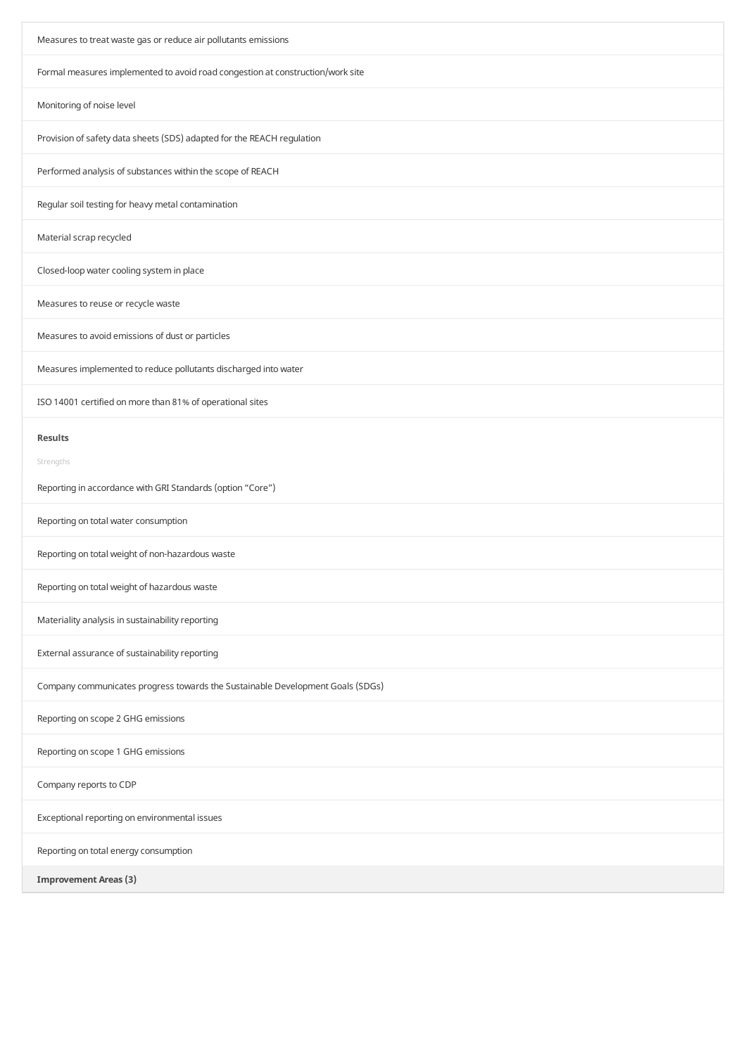| Measures to treat waste gas or reduce air pollutants emissions                 |  |  |
|--------------------------------------------------------------------------------|--|--|
| Formal measures implemented to avoid road congestion at construction/work site |  |  |
| Monitoring of noise level                                                      |  |  |
| Provision of safety data sheets (SDS) adapted for the REACH regulation         |  |  |
| Performed analysis of substances within the scope of REACH                     |  |  |
| Regular soil testing for heavy metal contamination                             |  |  |
| Material scrap recycled                                                        |  |  |
| Closed-loop water cooling system in place                                      |  |  |
| Measures to reuse or recycle waste                                             |  |  |
| Measures to avoid emissions of dust or particles                               |  |  |
| Measures implemented to reduce pollutants discharged into water                |  |  |
| ISO 14001 certified on more than 81% of operational sites                      |  |  |
| <b>Results</b>                                                                 |  |  |
| Strengths                                                                      |  |  |
| Reporting in accordance with GRI Standards (option "Core")                     |  |  |
| Reporting on total water consumption                                           |  |  |
| Reporting on total weight of non-hazardous waste                               |  |  |
| Reporting on total weight of hazardous waste                                   |  |  |
| Materiality analysis in sustainability reporting                               |  |  |
| External assurance of sustainability reporting                                 |  |  |
| Company communicates progress towards the Sustainable Development Goals (SDGs) |  |  |
| Reporting on scope 2 GHG emissions                                             |  |  |
| Reporting on scope 1 GHG emissions                                             |  |  |
| Company reports to CDP                                                         |  |  |
| Exceptional reporting on environmental issues                                  |  |  |
| Reporting on total energy consumption                                          |  |  |
| <b>Improvement Areas (3)</b>                                                   |  |  |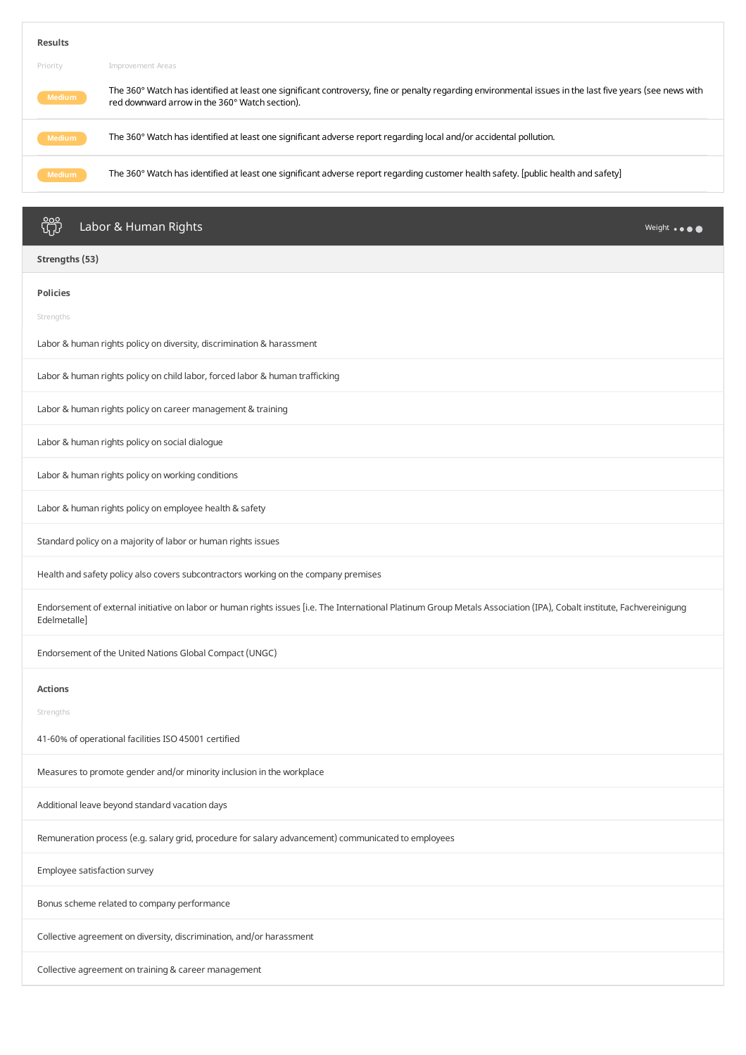| <b>Results</b>                                                                                                                                      |                                                                                                                                                                                                            |
|-----------------------------------------------------------------------------------------------------------------------------------------------------|------------------------------------------------------------------------------------------------------------------------------------------------------------------------------------------------------------|
| Priority                                                                                                                                            | Improvement Areas                                                                                                                                                                                          |
| Medium                                                                                                                                              | The 360° Watch has identified at least one significant controversy, fine or penalty regarding environmental issues in the last five years (see news with<br>red downward arrow in the 360° Watch section). |
| <b>Medium</b>                                                                                                                                       | The 360° Watch has identified at least one significant adverse report regarding local and/or accidental pollution.                                                                                         |
| The 360° Watch has identified at least one significant adverse report regarding customer health safety. [public health and safety]<br><b>Medium</b> |                                                                                                                                                                                                            |
|                                                                                                                                                     |                                                                                                                                                                                                            |
| <u>၀၀၀</u><br>Un                                                                                                                                    | Labor & Human Rights<br>Weight                                                                                                                                                                             |

| -0-                                                                                                                                                                                   |
|---------------------------------------------------------------------------------------------------------------------------------------------------------------------------------------|
| Strengths (53)                                                                                                                                                                        |
| <b>Policies</b>                                                                                                                                                                       |
| Strengths                                                                                                                                                                             |
| Labor & human rights policy on diversity, discrimination & harassment                                                                                                                 |
| Labor & human rights policy on child labor, forced labor & human trafficking                                                                                                          |
| Labor & human rights policy on career management & training                                                                                                                           |
| Labor & human rights policy on social dialogue                                                                                                                                        |
| Labor & human rights policy on working conditions                                                                                                                                     |
| Labor & human rights policy on employee health & safety                                                                                                                               |
| Standard policy on a majority of labor or human rights issues                                                                                                                         |
| Health and safety policy also covers subcontractors working on the company premises                                                                                                   |
| Endorsement of external initiative on labor or human rights issues [i.e. The International Platinum Group Metals Association (IPA), Cobalt institute, Fachvereinigung<br>Edelmetalle] |
| Endorsement of the United Nations Global Compact (UNGC)                                                                                                                               |
| <b>Actions</b>                                                                                                                                                                        |
| Strengths                                                                                                                                                                             |
| 41-60% of operational facilities ISO 45001 certified                                                                                                                                  |
| Measures to promote gender and/or minority inclusion in the workplace                                                                                                                 |
| Additional leave beyond standard vacation days                                                                                                                                        |
| Remuneration process (e.g. salary grid, procedure for salary advancement) communicated to employees                                                                                   |
| Employee satisfaction survey                                                                                                                                                          |
| Bonus scheme related to company performance                                                                                                                                           |
| Collective agreement on diversity, discrimination, and/or harassment                                                                                                                  |
| Collective agreement on training & career management                                                                                                                                  |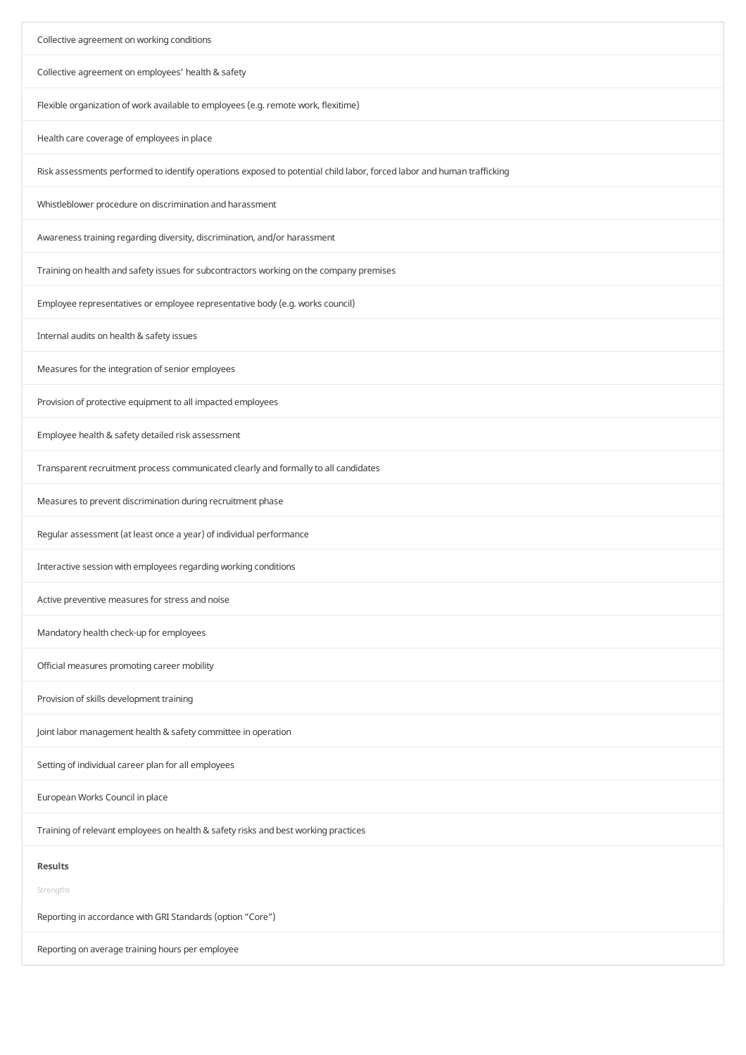| Collective agreement on working conditions                                                                             |  |  |
|------------------------------------------------------------------------------------------------------------------------|--|--|
| Collective agreement on employees' health & safety                                                                     |  |  |
| Flexible organization of work available to employees (e.g. remote work, flexitime)                                     |  |  |
| Health care coverage of employees in place                                                                             |  |  |
| Risk assessments performed to identify operations exposed to potential child labor, forced labor and human trafficking |  |  |
| Whistleblower procedure on discrimination and harassment                                                               |  |  |
| Awareness training regarding diversity, discrimination, and/or harassment                                              |  |  |
| Training on health and safety issues for subcontractors working on the company premises                                |  |  |
| Employee representatives or employee representative body (e.g. works council)                                          |  |  |
| Internal audits on health & safety issues                                                                              |  |  |
| Measures for the integration of senior employees                                                                       |  |  |
| Provision of protective equipment to all impacted employees                                                            |  |  |
| Employee health & safety detailed risk assessment                                                                      |  |  |
| Transparent recruitment process communicated clearly and formally to all candidates                                    |  |  |
| Measures to prevent discrimination during recruitment phase                                                            |  |  |
| Regular assessment (at least once a year) of individual performance                                                    |  |  |
| Interactive session with employees regarding working conditions                                                        |  |  |
| Active preventive measures for stress and noise                                                                        |  |  |
| Mandatory health check-up for employees                                                                                |  |  |
| Official measures promoting career mobility                                                                            |  |  |
| Provision of skills development training                                                                               |  |  |
| Joint labor management health & safety committee in operation                                                          |  |  |
| Setting of individual career plan for all employees                                                                    |  |  |
| European Works Council in place                                                                                        |  |  |
| Training of relevant employees on health & safety risks and best working practices                                     |  |  |
| <b>Results</b>                                                                                                         |  |  |
| Strengths                                                                                                              |  |  |
| Reporting in accordance with GRI Standards (option "Core")                                                             |  |  |
| Reporting on average training hours per employee                                                                       |  |  |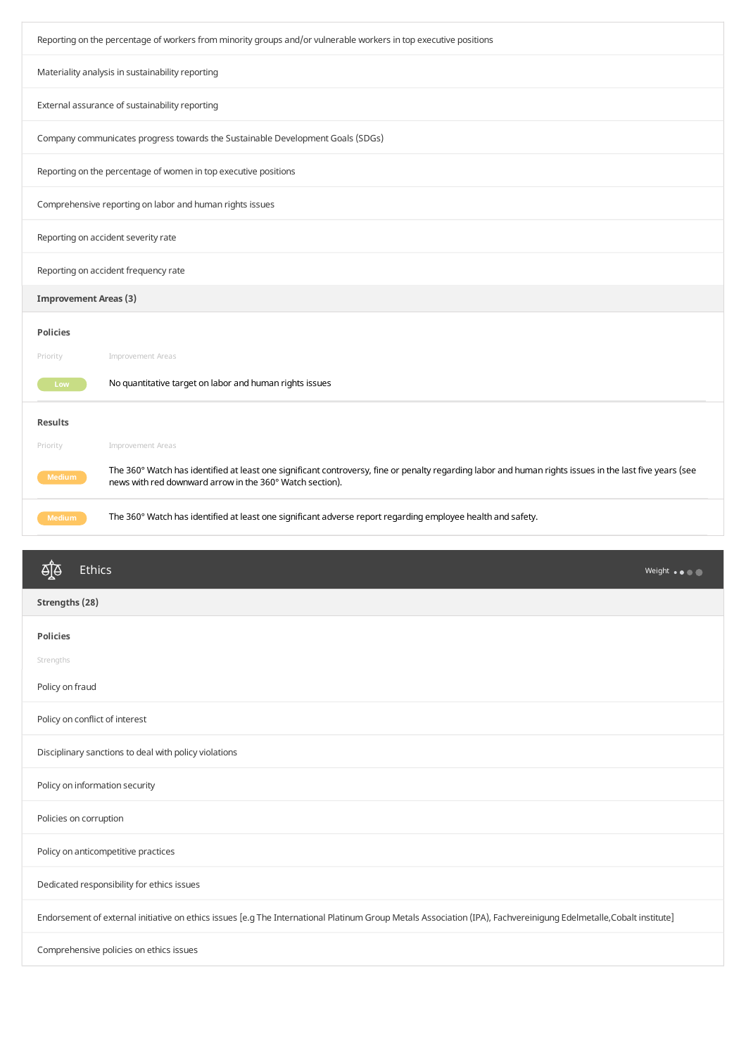| Reporting on the percentage of workers from minority groups and/or vulnerable workers in top executive positions |                                                                                                                                                                                                                     |  |
|------------------------------------------------------------------------------------------------------------------|---------------------------------------------------------------------------------------------------------------------------------------------------------------------------------------------------------------------|--|
|                                                                                                                  | Materiality analysis in sustainability reporting                                                                                                                                                                    |  |
|                                                                                                                  | External assurance of sustainability reporting                                                                                                                                                                      |  |
|                                                                                                                  | Company communicates progress towards the Sustainable Development Goals (SDGs)                                                                                                                                      |  |
|                                                                                                                  | Reporting on the percentage of women in top executive positions                                                                                                                                                     |  |
|                                                                                                                  | Comprehensive reporting on labor and human rights issues                                                                                                                                                            |  |
|                                                                                                                  | Reporting on accident severity rate                                                                                                                                                                                 |  |
| Reporting on accident frequency rate                                                                             |                                                                                                                                                                                                                     |  |
| <b>Improvement Areas (3)</b>                                                                                     |                                                                                                                                                                                                                     |  |
| <b>Policies</b>                                                                                                  |                                                                                                                                                                                                                     |  |
| Priority                                                                                                         | Improvement Areas                                                                                                                                                                                                   |  |
| Low                                                                                                              | No quantitative target on labor and human rights issues                                                                                                                                                             |  |
| <b>Results</b>                                                                                                   |                                                                                                                                                                                                                     |  |
| Priority                                                                                                         | Improvement Areas                                                                                                                                                                                                   |  |
| <b>Medium</b>                                                                                                    | The 360° Watch has identified at least one significant controversy, fine or penalty regarding labor and human rights issues in the last five years (see<br>news with red downward arrow in the 360° Watch section). |  |
| <b>Medium</b>                                                                                                    | The 360° Watch has identified at least one significant adverse report regarding employee health and safety.                                                                                                         |  |
|                                                                                                                  |                                                                                                                                                                                                                     |  |

| ॺऻॗऀढ़<br>Ethics                                                                                                                                                  | Weight $\bullet \bullet \bullet \bullet$ |
|-------------------------------------------------------------------------------------------------------------------------------------------------------------------|------------------------------------------|
| Strengths (28)                                                                                                                                                    |                                          |
| <b>Policies</b>                                                                                                                                                   |                                          |
| Strengths                                                                                                                                                         |                                          |
| Policy on fraud                                                                                                                                                   |                                          |
| Policy on conflict of interest                                                                                                                                    |                                          |
| Disciplinary sanctions to deal with policy violations                                                                                                             |                                          |
| Policy on information security                                                                                                                                    |                                          |
| Policies on corruption                                                                                                                                            |                                          |
| Policy on anticompetitive practices                                                                                                                               |                                          |
| Dedicated responsibility for ethics issues                                                                                                                        |                                          |
| Endorsement of external initiative on ethics issues [e.g The International Platinum Group Metals Association (IPA), Fachvereinigung Edelmetalle,Cobalt institute] |                                          |
| Comprehensive policies on ethics issues                                                                                                                           |                                          |
|                                                                                                                                                                   |                                          |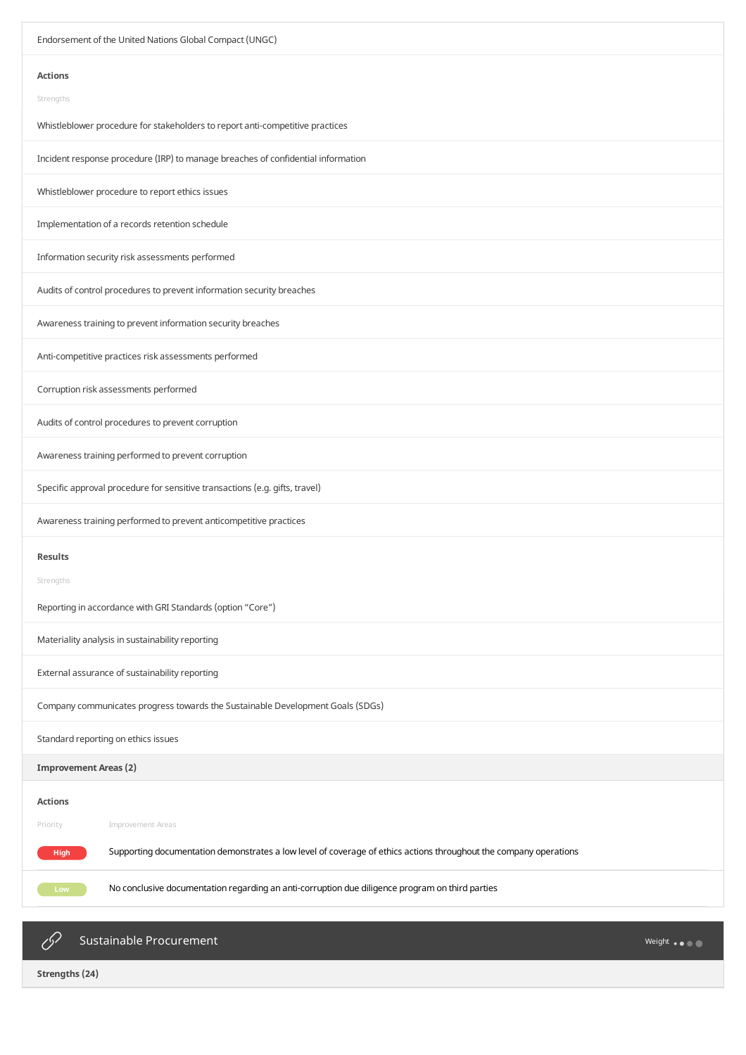| Endorsement of the United Nations Global Compact (UNGC)                                                                   |  |  |
|---------------------------------------------------------------------------------------------------------------------------|--|--|
| <b>Actions</b>                                                                                                            |  |  |
| Strengths                                                                                                                 |  |  |
| Whistleblower procedure for stakeholders to report anti-competitive practices                                             |  |  |
| Incident response procedure (IRP) to manage breaches of confidential information                                          |  |  |
| Whistleblower procedure to report ethics issues                                                                           |  |  |
| Implementation of a records retention schedule                                                                            |  |  |
| Information security risk assessments performed                                                                           |  |  |
| Audits of control procedures to prevent information security breaches                                                     |  |  |
| Awareness training to prevent information security breaches                                                               |  |  |
| Anti-competitive practices risk assessments performed                                                                     |  |  |
| Corruption risk assessments performed                                                                                     |  |  |
| Audits of control procedures to prevent corruption                                                                        |  |  |
| Awareness training performed to prevent corruption                                                                        |  |  |
| Specific approval procedure for sensitive transactions (e.g. gifts, travel)                                               |  |  |
| Awareness training performed to prevent anticompetitive practices                                                         |  |  |
| <b>Results</b>                                                                                                            |  |  |
| Strengths                                                                                                                 |  |  |
| Reporting in accordance with GRI Standards (option "Core")                                                                |  |  |
| Materiality analysis in sustainability reporting                                                                          |  |  |
| External assurance of sustainability reporting                                                                            |  |  |
| Company communicates progress towards the Sustainable Development Goals (SDGs)                                            |  |  |
| Standard reporting on ethics issues                                                                                       |  |  |
| <b>Improvement Areas (2)</b>                                                                                              |  |  |
| <b>Actions</b>                                                                                                            |  |  |
| Priority<br>Improvement Areas                                                                                             |  |  |
| Supporting documentation demonstrates a low level of coverage of ethics actions throughout the company operations<br>High |  |  |
| No conclusive documentation regarding an anti-corruption due diligence program on third parties<br>Low                    |  |  |
|                                                                                                                           |  |  |



 $\mathscr{O}$ 

Sustainable Procurement

Weight ...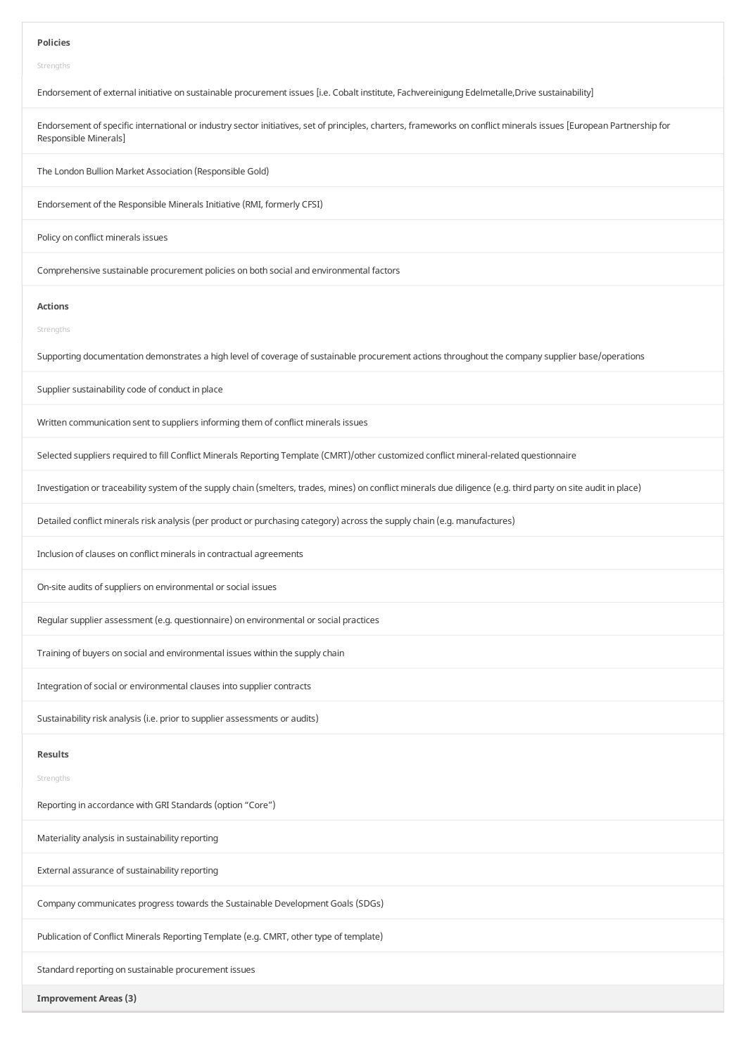#### **Policies**

Strengths

Endorsement of external initiative on sustainable procurement issues [i.e. Cobalt institute, Fachvereinigung Edelmetalle,Drive sustainability]

Endorsement of specific international or industry sector initiatives, set of principles, charters, frameworks on conflict minerals issues [European Partnership for Responsible Minerals]

The London Bullion Market Association (Responsible Gold)

Endorsement of the Responsible Minerals Initiative (RMI, formerly CFSI)

Policy on conflict minerals issues

Comprehensive sustainable procurement policies on both social and environmental factors

#### **Actions**

Strengths

Supporting documentation demonstrates a high level of coverage of sustainable procurement actions throughout the company supplier base/operations

Supplier sustainability code of conduct in place

Written communication sent to suppliers informing them of conflict minerals issues

Selected suppliers required to fill Conflict Minerals Reporting Template (CMRT)/other customized conflict mineral-related questionnaire

Investigation or traceability system of the supply chain (smelters, trades, mines) on conflict minerals due diligence (e.g. third party on site audit in place)

Detailed conflict minerals risk analysis (per product or purchasing category) across the supply chain (e.g. manufactures)

Inclusion of clauses on conflict minerals in contractual agreements

On-site audits of suppliers on environmental or social issues

Regular supplier assessment (e.g. questionnaire) on environmental or social practices

Training of buyers on social and environmental issues within the supplychain

Integration of social or environmental clauses into supplier contracts

Sustainability risk analysis (i.e. prior to supplier assessments or audits)

# **Results**

Strengths

Reporting in accordance with GRI Standards (option "Core")

Materiality analysis in sustainability reporting

External assurance of sustainability reporting

Company communicates progress towards the Sustainable Development Goals (SDGs)

Publication of Conflict Minerals Reporting Template (e.g. CMRT, other type of template)

Standard reporting on sustainable procurement issues

**Improvement Areas(3)**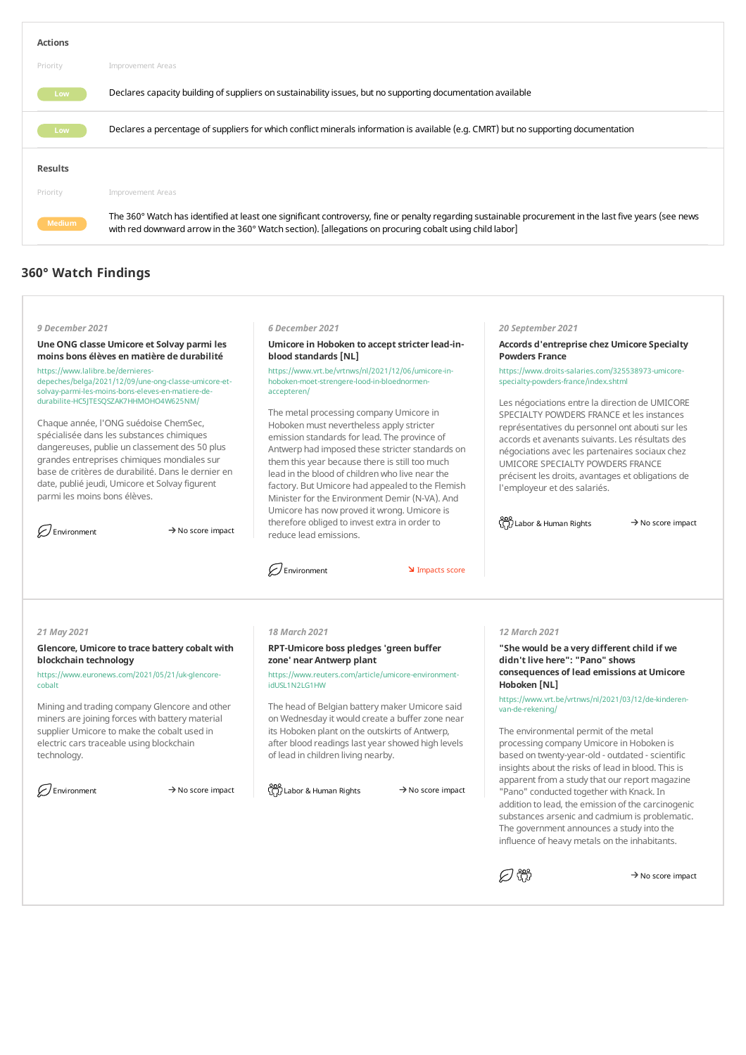| <b>Actions</b> |                                                                                                                                                                                                                                                                   |
|----------------|-------------------------------------------------------------------------------------------------------------------------------------------------------------------------------------------------------------------------------------------------------------------|
| Priority       | Improvement Areas                                                                                                                                                                                                                                                 |
| Low -          | Declares capacity building of suppliers on sustainability issues, but no supporting documentation available                                                                                                                                                       |
| Low -          | Declares a percentage of suppliers for which conflict minerals information is available (e.g. CMRT) but no supporting documentation                                                                                                                               |
| <b>Results</b> |                                                                                                                                                                                                                                                                   |
| Priority       | Improvement Areas                                                                                                                                                                                                                                                 |
| <b>Medium</b>  | The 360° Watch has identified at least one significant controversy, fine or penalty regarding sustainable procurement in the last five years (see news<br>with red downward arrow in the 360° Watch section). [allegations on procuring cobalt using child labor] |

# **360° Watch Findings**

# *9 December 2021*

#### **Une ONG classe Umicore et Solvay parmi les moins bons élèves en matière de durabilité**

https://www.lalibre.be/dernieresdepeches/belga/2021/12/09/une-ong-classe-umicore-etsolvay-parmi-les-moins-bons-eleves-en-matiere-dedurabilite-HC5JTESQSZAK7HHMOHO4W625NM/

Chaque année, l'ONG suédoise ChemSec, spécialisée dans les substances chimiques dangereuses, publie un classement des 50 plus grandes entreprises chimiques mondiales sur base de critères de durabilité. Dans le dernier en date, publié jeudi, Umicore et Solvay figurent parmi les moins bons élèves.

 $\oslash$  Environment  $\rightarrow$  No score impact

#### *6 December 2021*

# **Umicore in Hoboken to accept stricter lead-inblood standards[NL]**

https://www.vrt.be/vrtnws/nl/2021/12/06/umicore-inhoboken-moet-strengere-lood-in-bloednormenaccepteren/

The metal processing company Umicore in Hoboken must nevertheless apply stricter emission standards for lead. The province of Antwerp had imposed these stricter standards on them this year because there is still too much lead in the blood of children who live near the factory. But Umicore had appealed to the Flemish Minister for the Environment Demir (N-VA). And Umicore has now proved it wrong. Umicore is therefore obliged to invest extra in order to reduce lead emissions.

Environment **IMPACTES** Impacts score

**Accords d'entreprise chez Umicore Specialty Powders France**

*20 September 2021*

https://www.droits-salaries.com/325538973-umicorespecialty-powders-france/index.shtml

Les négociations entre la direction de UMICORE SPECIALTY POWDERS FRANCE et les instances représentatives du personnel ont abouti sur les accords et avenants suivants.Les résultats des négociations avec les partenaires sociauxchez UMICORE SPECIALTY POWDERS FRANCE précisent les droits, avantages et obligations de l'employeur et des salariés.

 $\frac{600}{\sqrt{1}}$ Labor & Human Rights  $\rightarrow$  No score impact

#### *21 May 2021*

# **Glencore, Umicore to trace battery cobaltwith blockchain technology**

https://www.euronews.com/2021/05/21/uk-glencorecobalt

Mining and trading company Glencore and other miners are joining forces with battery material supplier Umicore to make the cobalt used in electric cars traceable using blockchain technology.

# *18 March 2021*

# **RPT-Umicore boss pledges'green buffer zone' near Antwerp plant**

https://www.reuters.com/article/umicore-environmentidUSL1N2LG1HW

The head of Belgian battery maker Umicore said on Wednesday it would create a buffer zone near its Hoboken plant on the outskirts of Antwerp, after blood readings last year showed high levels of lead in children living nearby.

Environment  $\Rightarrow$  No score impact  $\bigcap_{\{1\}}$  Labor & Human Rights  $\Rightarrow$  No score impact

## *12 March 2021*

**"She would be a very differentchild if we didn'tlive here":"Pano"shows consequences of lead emissions at Umicore Hoboken [NL]**

https://www.vrt.be/vrtnws/nl/2021/03/12/de-kinderenvan-de-rekening/

The environmental permit of the metal processing company Umicore in Hoboken is based on twenty-year-old - outdated - scientific insights about the risks of lead in blood. This is apparent from a study that our report magazine "Pano" conducted together with Knack. In addition to lead, the emission of the carcinogenic substances arsenic and cadmium is problematic. The government announces a study into the influence of heavy metals on the inhabitants.

*日* 帶

 $\rightarrow$  No score impact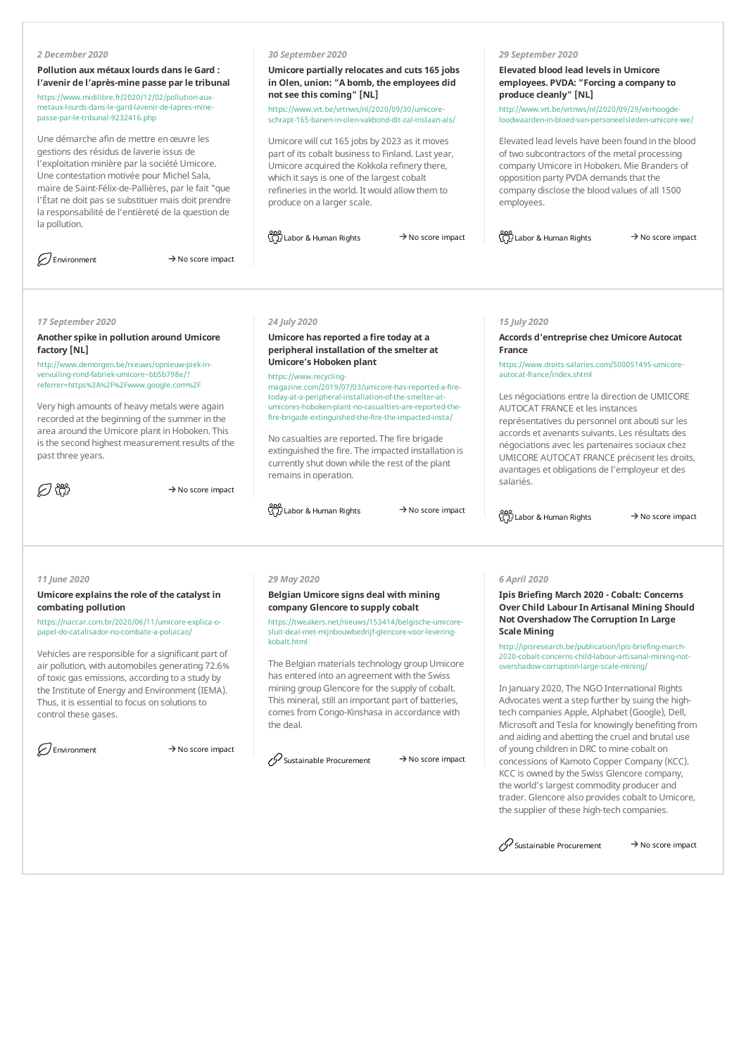#### *2 December 2020*

**Pollution aux métaux lourds dansle Gard : l'avenir de l'après-mine passe parle tribunal** https://www.midilibre.fr/2020/12/02/pollution-auxmetaux-lourds-dans-le-gard-lavenir-de-lapres-minepasse-par-le-tribunal-9232416.php

Une démarche afin de mettre enœuvre les gestions des résidus de laverie issus de l'exploitation minière par la société Umicore. Une contestation motivée pour Michel Sala, maire de Saint-Félix-de-Pallières, par le fait"que l'État ne doit pas se substituer mais doit prendre la responsabilité de l'entièreté de la question de la pollution.

 $\mathcal{D}$  Environment  $\rightarrow$  No score impact

## *30 September 2020*

**Umicore partially relocates and cuts 165 jobs** in Olen, union: "A bomb, the employees did **notsee thiscoming"[NL]**

https://www.vrt.be/vrtnws/nl/2020/09/30/umicoreschrapt-165-banen-in-olen-vakbond-dit-zal-inslaan-als/

Umicore will cut 165 jobs by 2023 as it moves part of its cobalt business to Finland. Last year, Umicore acquired the Kokkola refinery there, which it says is one of the largest cobalt refineries in the world. It would allowthemto produce on a larger scale.

ooo<br>GD Labor & Human Rights → No score impact CD Labor & Human Rights → No score impact

**Elevated blood lead levelsin Umicore employees. PVDA:"Forcing a company to**

*29 September 2020*

**produce cleanly"[NL]**

http://www.vrt.be/vrtnws/nl/2020/09/29/verhoogdeloodwaarden-in-bloed-van-personeelsleden-umicore-we/

Elevated lead levels have been found in the blood of two subcontractors of the metal processing company Umicore in Hoboken. Mie Branders of opposition party PVDA demands that the company disclose the blood values of all 1500 employees.

**Accords d'entreprise chez Umicore Autocat**

https://www.droits-salaries.com/500051495-umicore-

Les négociations entre la direction de UMICORE

représentatives du personnel ont abouti sur les accords et avenants suivants.Les résultats des négociations avec les partenaires sociaux chez UMICORE AUTOCAT FRANCE précisent les droits, avantages et obligations de l'employeur et des

AUTOCAT FRANCE et les instances

# *17 September 2020*

# **Anotherspike in pollution around Umicore factory [NL]**

http://www.demorgen.be/nieuws/opnieuw-piek-invervuiling-rond-fabriek-umicore~bb5b798e/? referrer=https%3A%2F%2Fwww.google.com%2F

Very high amounts of heavy metals were again recorded at the beginning of the summer in the area around the Umicore plant in Hoboken. This is the second highest measurement results of the past three years.

の器

 $\rightarrow$  No score impact

# *24 July 2020*

# **Umicore hasreported a fire today at a peripheral installation of the smelter at Umicore's Hoboken plant**

https://www.recyclingmagazine.com/2019/07/03/umicore-has-reported-a-firetoday-at-a-peripheral-installation-of-the-smelter-atumicores-hoboken-plant-no-casualties-are-reported-thefire-brigade-extinguished-the-fire-the-impacted-insta/

No casualties are reported. The fire brigade extinguished the fire. The impacted installation is currentlyshut downwhile the rest of the plant remains in operation.

 $\frac{800}{\binom{11}{2}}$ Labor & Human Rights  $\rightarrow$  No score impact

<u>၀၀၀</u><br>(၄၂) Labor & Human Rights → No score impact

salariés.

*15 July 2020*

autocat-france/index.shtml

**France**

#### *11 June 2020*

# **Umicore explainsthe role of the catalystin combating pollution**

https://naccar.com.br/2020/06/11/umicore-explica-opapel-do-catalisador-no-combate-a-poluicao/

Vehicles are responsible for a significant part of air pollution, with automobiles generating 72.6% of toxic gas emissions, according to a study by the Institute of Energy and Environment (IEMA). Thus, it is essential to focus on solutions to control these gases.

 $\mathcal{F}$  Environment  $\rightarrow$  No score impact

#### *29 May 2020*

# **Belgian Umicore signs deal with mining company Glencore to supply cobalt**

https://tweakers.net/nieuws/153414/belgische-umicoresluit-deal-met-mijnbouwbedrijf-glencore-voor-leveringkobalt.html

The Belgian materials technology group Umicore has entered into an agreement with the Swiss mining group Glencore for the supply of cobalt. This mineral, still an important part of batteries, comes fromCongo-Kinshasa in accordance with the deal.

Sustainable Procurement  $\rightarrow$  No score impact

#### *6 April 2020*

**Ipis Briefing March 2020 - Cobalt: Concerns Over Child LabourIn Artisanal Mining Should Not OvershadowThe Corruption In Large ScaleMining**

http://ipisresearch.be/publication/ipis-briefing-march-2020-cobalt-concerns-child-labour-artisanal-mining-notovershadow-corruption-large-scale-mining/

In January 2020, The NGO International Rights Advocates went a step further bysuing the hightech companies Apple, Alphabet (Google), Dell, Microsoft and Tesla for knowingly benefiting from and aiding and abetting the cruel and brutal use ofyoung children in DRC tomine cobalt on concessions of Kamoto Copper Company(KCC). KCC is owned by the Swiss Glencore company, the world's largest commodity producer and trader. Glencore also provides cobalt to Umicore, the supplier of these high-tech companies.



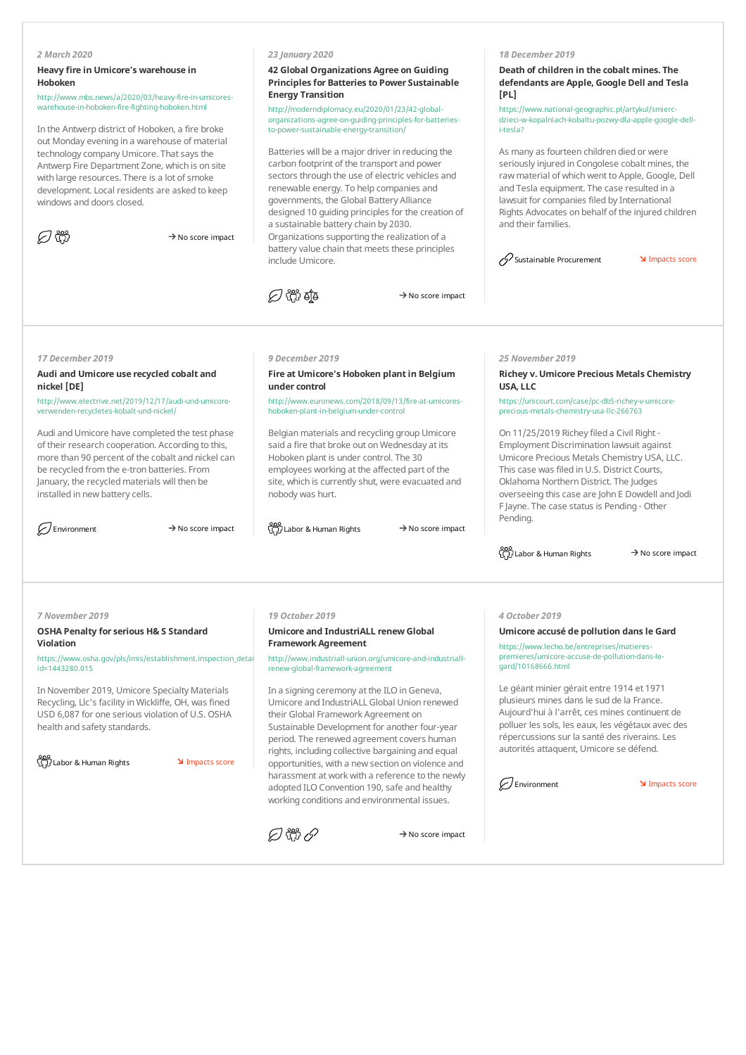# *2 March 2020*

# **Heavy fire in Umicore's warehouse in Hoboken**

http://www.mbs.news/a/2020/03/heavy-fire-in-umicoreswarehouse-in-hoboken-fire-fighting-hoboken.html

In the Antwerp district of Hoboken, a fire broke out Monday evening in a warehouse of material technology company Umicore. That says the Antwerp Fire Department Zone, which is on site with large resources. There is a lot of smoke development.Local residents are asked to keep windows and doors closed.

| ۰, |  |  |
|----|--|--|
|----|--|--|

 $\rightarrow$  No score impact

#### *23 January 2020*

### **42 Global Organizations Agree on Guiding Principlesfor Batteriesto Power Sustainable Energy Transition**

http://moderndiplomacy.eu/2020/01/23/42-globalorganizations-agree-on-guiding-principles-for-batteriesto-power-sustainable-energy-transition/

Batteries will be a major driver in reducing the carbon footprint of the transport and power sectors through the use of electric vehicles and renewable energy. To help companies and governments, the Global Battery Alliance designed 10 guiding principles for the creation of a sustainable batterychain by 2030. Organizations supporting the realization of a battery value chain that meets these principles include Umicore.



 $\rightarrow$  No score impact

#### *18 December 2019*

# **Death of children in the cobalt mines. The defendants are Apple, Google Dell and Tesla [PL]**

https://www.national-geographic.pl/artykul/smiercdzieci-w-kopalniach-kobaltu-pozwy-dla-apple-google-delli-tesla?

As many as fourteen children died or were seriously injured in Congolese cobalt mines, the raw material of which went to Apple, Google, Dell and Tesla equipment. The case resulted in a lawsuit for companies filed by International Rights Advocates on behalf of the injured children and their families.

 $\oslash$  Sustainable Procurement **IMP** Impacts score

*17 December 2019*

**Audi and Umicore use recycled cobalt and nickel [DE]**

http://www.electrive.net/2019/12/17/audi-und-umicoreverwenden-recycletes-kobalt-und-nickel/

Audi and Umicore have completed the test phase of their research cooperation. According to this, more than 90 percent of the cobalt and nickel can be recycled from the e-tron batteries. From January, the recycled materials will then be installed in new battery cells.

#### *9 December 2019*

# **Fire at Umicore's Hoboken plantin Belgium undercontrol**

http://www.euronews.com/2018/09/13/fire-at-umicoreshoboken-plant-in-belgium-under-control

Belgian materials and recycling group Umicore said a fire that broke out on Wednesday at its Hoboken plant is under control. The 30 employees working at the affected part of the site, which is currently shut, were evacuated and nobody was hurt.

Environment  $\rightarrow$  No score impact  $\bigcup_{\alpha \in \Pi} \text{C}$  Labor & Human Rights  $\rightarrow$  No score impact

*25 November 2019*

# **Richey v. Umicore Precious Metals Chemistry USA, LLC**

https://unicourt.com/case/pc-db5-richey-v-umicoreprecious-metals-chemistry-usa-llc-266763

On 11/25/2019 Richey filed a Civil Right -Employment Discrimination lawsuit against Umicore Precious Metals Chemistry USA, LLC. This case was filed in U.S. District Courts, Oklahoma Northern District. The Judges overseeing this case are John E Dowdell and Jodi F Jayne. The case status is Pending - Other Pending.

 $\frac{800}{\sqrt{1}}$ Labor & Human Rights  $\rightarrow$  No score impact

*7 November 2019*

#### **OSHA Penalty forserious H& S Standard Violation**

https://www.osha.gov/pls/imis/establishment.inspection\_detail? id=1443280.015

In November 2019, Umicore Specialty Materials Recycling, Llc's facility in Wickliffe, OH, was fined USD 6,087 for one serious violation of U.S. OSHA health and safety standards.

<u>ooo</u><br>【刀 Labor & Human Rights **Impacts score** 

# *19 October 2019*

#### **Umicore and IndustriALL renewGlobal Framework Agreement**

http://www.industriall-union.org/umicore-and-industriallrenew-global-framework-agreement

In a signing ceremony at the ILO in Geneva, Umicore and IndustriALL Global Union renewed their Global Framework Agreement on Sustainable Development for another four-year period. The renewed agreement covers human rights, including collective bargaining and equal opportunities, with a newsection on violence and harassment at work with a reference to the newly adopted ILO Convention 190, safe and healthy working conditions and environmental issues.



#### $\rightarrow$  No score impact

*4 October 2019*

**Umicore accusé de pollution dansle Gard**

https://www.lecho.be/entreprises/matierespremieres/umicore-accuse-de-pollution-dans-legard/10168666.html

Le géant minier gérait entre 1914 et 1971 plusieurs mines dans le sud de la France. Aujourd'hui à l'arrêt, ces mines continuent de polluer les sols, les eaux, les végétaux avec des répercussions sur la santé des riverains.Les autorités attaquent, Umicore se défend.

Environment V Impacts score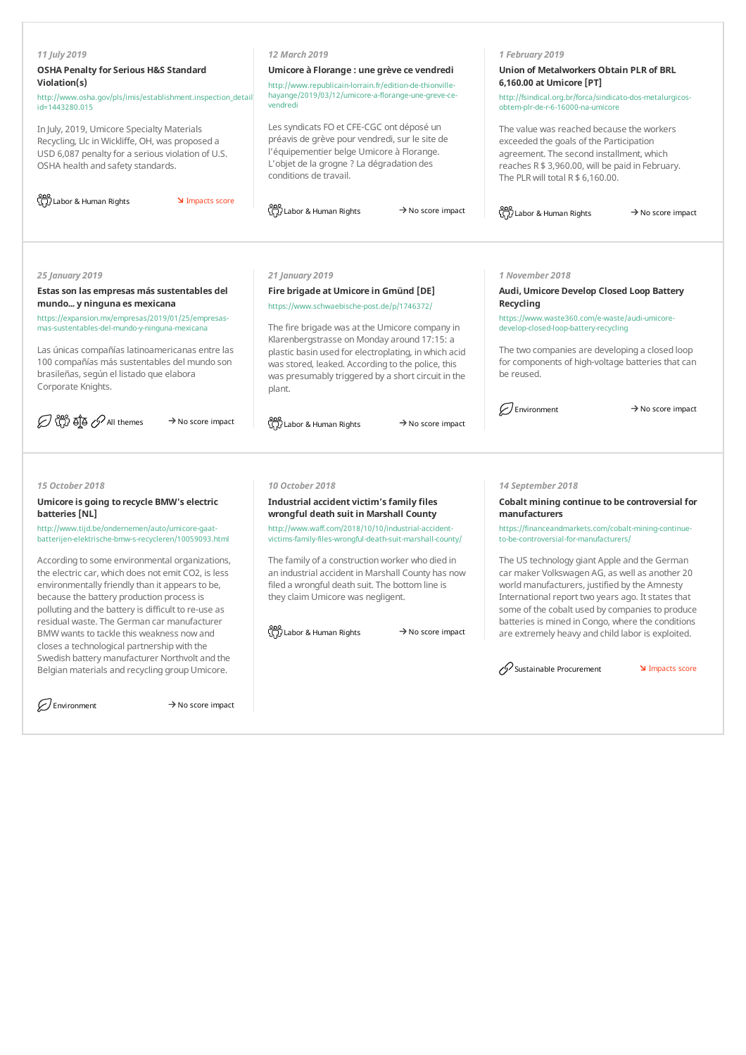| 11 July 2019<br><b>OSHA Penalty for Serious H&amp;S Standard</b><br>Violation(s)<br>http://www.osha.gov/pls/imis/establishment.inspection detail<br>id=1443280.015<br>In July, 2019, Umicore Specialty Materials<br>Recycling, Llc in Wickliffe, OH, was proposed a<br>USD 6,087 penalty for a serious violation of U.S.<br>OSHA health and safety standards.<br>ြို့ Labor & Human Rights<br>Impacts score | 12 March 2019<br>Umicore à Florange : une grève ce vendredi<br>http://www.republicain-lorrain.fr/edition-de-thionville-<br>hayange/2019/03/12/umicore-a-florange-une-greve-ce-<br>vendredi<br>Les syndicats FO et CFE-CGC ont déposé un<br>préavis de grève pour vendredi, sur le site de<br>l'équipementier belge Umicore à Florange.<br>L'objet de la grogne ? La dégradation des<br>conditions de travail. | 1 February 2019<br>Union of Metalworkers Obtain PLR of BRL<br>6,160.00 at Umicore [PT]<br>http://fsindical.org.br/forca/sindicato-dos-metalurgicos-<br>obtem-plr-de-r-6-16000-na-umicore<br>The value was reached because the workers<br>exceeded the goals of the Participation<br>agreement. The second installment, which<br>reaches R \$ 3,960.00, will be paid in February.<br>The PLR will total $R $ 6,160.00$ . |
|-------------------------------------------------------------------------------------------------------------------------------------------------------------------------------------------------------------------------------------------------------------------------------------------------------------------------------------------------------------------------------------------------------------|---------------------------------------------------------------------------------------------------------------------------------------------------------------------------------------------------------------------------------------------------------------------------------------------------------------------------------------------------------------------------------------------------------------|-------------------------------------------------------------------------------------------------------------------------------------------------------------------------------------------------------------------------------------------------------------------------------------------------------------------------------------------------------------------------------------------------------------------------|
|                                                                                                                                                                                                                                                                                                                                                                                                             | တ္သို Labor & Human Rights<br>$\rightarrow$ No score impact                                                                                                                                                                                                                                                                                                                                                   | ထိ<br>(၂၂) Labor & Human Rights<br>$\rightarrow$ No score impact                                                                                                                                                                                                                                                                                                                                                        |
|                                                                                                                                                                                                                                                                                                                                                                                                             |                                                                                                                                                                                                                                                                                                                                                                                                               |                                                                                                                                                                                                                                                                                                                                                                                                                         |
| 25 January 2019                                                                                                                                                                                                                                                                                                                                                                                             | 21 January 2019                                                                                                                                                                                                                                                                                                                                                                                               | 1 November 2018                                                                                                                                                                                                                                                                                                                                                                                                         |
| Estas son las empresas más sustentables del<br>mundo y ninguna es mexicana                                                                                                                                                                                                                                                                                                                                  | Fire brigade at Umicore in Gmünd [DE]<br>https://www.schwaebische-post.de/p/1746372/                                                                                                                                                                                                                                                                                                                          | Audi, Umicore Develop Closed Loop Battery<br>Recycling                                                                                                                                                                                                                                                                                                                                                                  |
| https://expansion.mx/empresas/2019/01/25/empresas-<br>mas-sustentables-del-mundo-y-ninguna-mexicana                                                                                                                                                                                                                                                                                                         | The fire brigade was at the Umicore company in                                                                                                                                                                                                                                                                                                                                                                | https://www.waste360.com/e-waste/audi-umicore-<br>develop-closed-loop-battery-recycling                                                                                                                                                                                                                                                                                                                                 |
| Las únicas compañías latinoamericanas entre las<br>100 compañías más sustentables del mundo son<br>brasileñas, según el listado que elabora<br>Corporate Knights.                                                                                                                                                                                                                                           | Klarenbergstrasse on Monday around 17:15: a<br>plastic basin used for electroplating, in which acid<br>was stored, leaked. According to the police, this<br>was presumably triggered by a short circuit in the<br>plant.                                                                                                                                                                                      | The two companies are developing a closed loop<br>for components of high-voltage batteries that can<br>be reused.                                                                                                                                                                                                                                                                                                       |
| D th of A M themes<br>$\rightarrow$ No score impact                                                                                                                                                                                                                                                                                                                                                         | တ္သို Labor & Human Rights<br>$\rightarrow$ No score impact                                                                                                                                                                                                                                                                                                                                                   | Environment<br>$\rightarrow$ No score impact                                                                                                                                                                                                                                                                                                                                                                            |
|                                                                                                                                                                                                                                                                                                                                                                                                             |                                                                                                                                                                                                                                                                                                                                                                                                               |                                                                                                                                                                                                                                                                                                                                                                                                                         |
| 15 October 2018                                                                                                                                                                                                                                                                                                                                                                                             | 10 October 2018                                                                                                                                                                                                                                                                                                                                                                                               | 14 September 2018                                                                                                                                                                                                                                                                                                                                                                                                       |
| Umicore is going to recycle BMW's electric<br>batteries [NL]                                                                                                                                                                                                                                                                                                                                                | Industrial accident victim's family files<br>wrongful death suit in Marshall County                                                                                                                                                                                                                                                                                                                           | Cobalt mining continue to be controversial for<br>manufacturers                                                                                                                                                                                                                                                                                                                                                         |
| http://www.tijd.be/ondernemen/auto/umicore-gaat-<br>batterijen-elektrische-bmw-s-recycleren/10059093.html                                                                                                                                                                                                                                                                                                   | http://www.waff.com/2018/10/10/industrial-accident-<br>victims-family-files-wrongful-death-suit-marshall-county/                                                                                                                                                                                                                                                                                              | https://financeandmarkets.com/cobalt-mining-continue-<br>to-be-controversial-for-manufacturers/                                                                                                                                                                                                                                                                                                                         |

According to some environmental organizations, the electric car, which does not emit CO2, is less environmentally friendly than it appears to be, because the battery production process is polluting and the batteryis difficult to re-use as residual waste. The German car manufacturer BMWwants to tackle this weakness nowand closes a technological partnership with the Swedish batterymanufacturer Northvolt and the Belgian materials and recycling group Umicore.

 $\mathcal D$  Environment  $\rightarrow$  No score impact

The family of a construction worker who died in an industrial accident in Marshall County has now filed a wrongful death suit. The bottom line is theyclaimUmicore was negligent.

 $\frac{800}{\pi}$ Labor & Human Rights  $\rightarrow$  No score impact

The US technology giant Apple and the German carmaker Volkswagen AG, as well as another 20 world manufacturers, justified by the Amnesty International report two years ago. It states that some of the cobalt used bycompanies to produce batteries is mined in Congo, where the conditions are extremely heavy and child labor is exploited.

Sustainable Procurement **IMP** Impacts score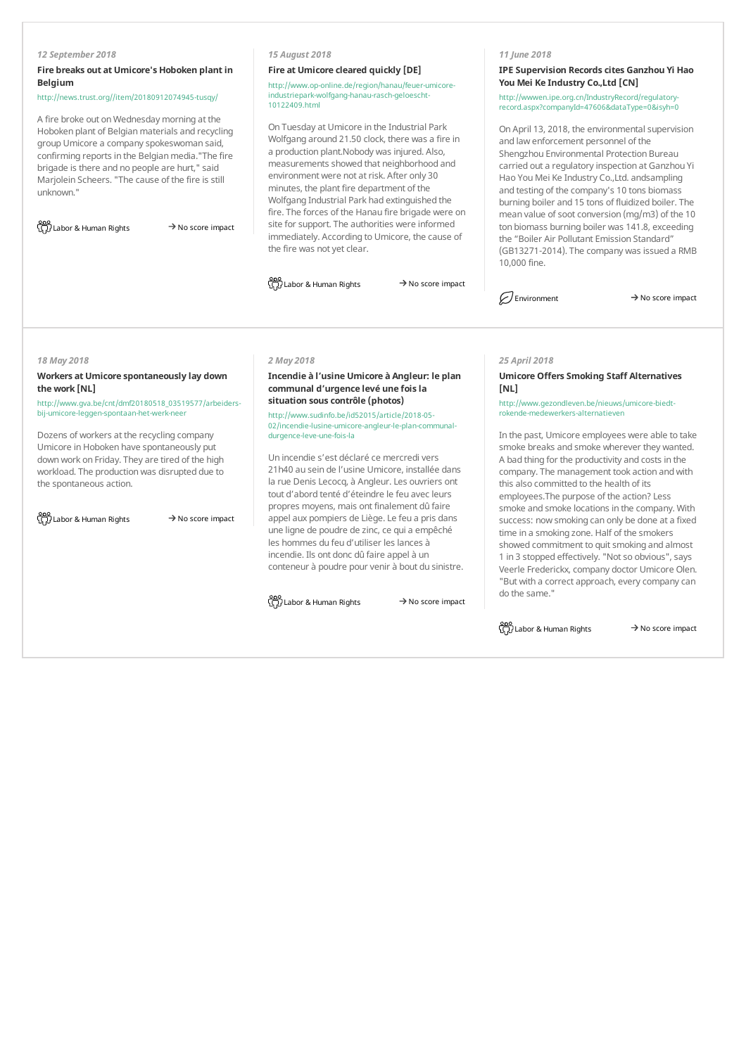## *12 September 2018*

# **Fire breaks out at Umicore's Hoboken plantin Belgium**

http://news.trust.org//item/20180912074945-tusqy/

A fire broke out on Wednesday morning at the Hoboken plant of Belgian materials and recycling group Umicore a companyspokeswoman said, confirming reports in the Belgian media."The fire brigade is there and no people are hurt," said Marjolein Scheers."The cause of the fire is still unknown."

 $\frac{800}{\binom{11}{11}}$ Labor & Human Rights  $\rightarrow$  No score impact

# *15 August 2018*

#### **Fire at Umicore cleared quickly [DE]**

http://www.op-online.de/region/hanau/feuer-umicoreindustriepark-wolfgang-hanau-rasch-geloescht-10122409.html

On Tuesday at Umicore in the Industrial Park Wolfgang around 21.50 clock, there was a fire in a production plant.Nobody was injured. Also, measurements showed that neighborhood and environment were not at risk. After only 30 minutes, the plant fire department of the Wolfgang Industrial Park had extinguished the fire. The forces of the Hanau fire brigade were on site for support. The authorities were informed immediately. According to Umicore, the cause of the fire was not yet clear.

<u>ooo</u><br>G刀 Labor & Human Rights → No score impact

# *11 June 2018*

**IPE Supervision Recordscites Ganzhou Yi Hao YouMei Ke Industry Co.,Ltd [CN]**

http://wwwen.ipe.org.cn/IndustryRecord/regulatoryrecord.aspx?companyId=47606&dataType=0&isyh=0

On April 13, 2018, the environmental supervision and lawenforcement personnel of the Shengzhou Environmental Protection Bureau carried out a regulatory inspection at Ganzhou Yi Hao You Mei Ke Industry Co., Ltd. andsampling and testing of the company's 10 tons biomass burning boiler and 15 tons of fluidized boiler. The mean value of soot conversion (mg/m3) of the 10 ton biomass burning boiler was 141.8, exceeding the "Boiler Air Pollutant Emission Standard" (GB13271-2014). The company was issued a RMB 10,000 fine.

 $\mathcal{D}$  Environment  $\rightarrow$  No score impact

#### *18 May 2018*

# **Workers at Umicore spontaneously lay down the work [NL]**

http://www.gva.be/cnt/dmf20180518\_03519577/arbeidersbij-umicore-leggen-spontaan-het-werk-neer

Dozens of workers at the recycling company Umicore in Hoboken have spontaneously put downwork on Friday. They are tired of the high workload. The production was disrupted due to the spontaneous action.

<u>ooo</u><br>G刀 Labor & Human Rights → No score impact

#### *2 May 2018*

**Incendie à l'usine Umicore à Angleur: le plan communal d'urgence levé une foisla situation souscontrôle (photos)**

http://www.sudinfo.be/id52015/article/2018-05- 02/incendie-lusine-umicore-angleur-le-plan-communaldurgence-leve-une-fois-la

Un incendie s'est déclaré ce mercredivers 21h40 au sein de l'usine Umicore, installée dans la rue Denis Lecocq, à Angleur. Les ouvriers ont tout d'abord tenté d'éteindre le feu avec leurs propres moyens, mais ont finalement dû faire appel aux pompiers de Liège.Le feu a pris dans une ligne de poudre de zinc, ce qui a empêché les hommes du feu d'utiliser les lances à incendie. Ils ont donc dû faire appel à un conteneur à poudre pour venir à bout du sinistre.

 $\frac{800}{32}$ Labor & Human Rights  $\rightarrow$  No score impact

*25 April 2018*

# **Umicore Offers Smoking Staff Alternatives [NL]**

http://www.gezondleven.be/nieuws/umicore-biedtrokende-medewerkers-alternatieven

In the past, Umicore employees were able to take smoke breaks and smoke wherever they wanted. A bad thing for the productivity and costs in the company. The management took action andwith this also committed to the health of its employees.The purpose of the action? Less smoke and smoke locations in the company.With success: nowsmoking can only be done at a fixed time in a smoking zone. Half of the smokers showed commitment to quit smoking and almost 1 in 3 stopped effectively."Notso obvious",says Veerle Frederickx, company doctor Umicore Olen. "But with a correct approach, everycompanycan do the same."

 $\frac{000}{\sqrt{1}}$ Labor & Human Rights  $\rightarrow$  No score impact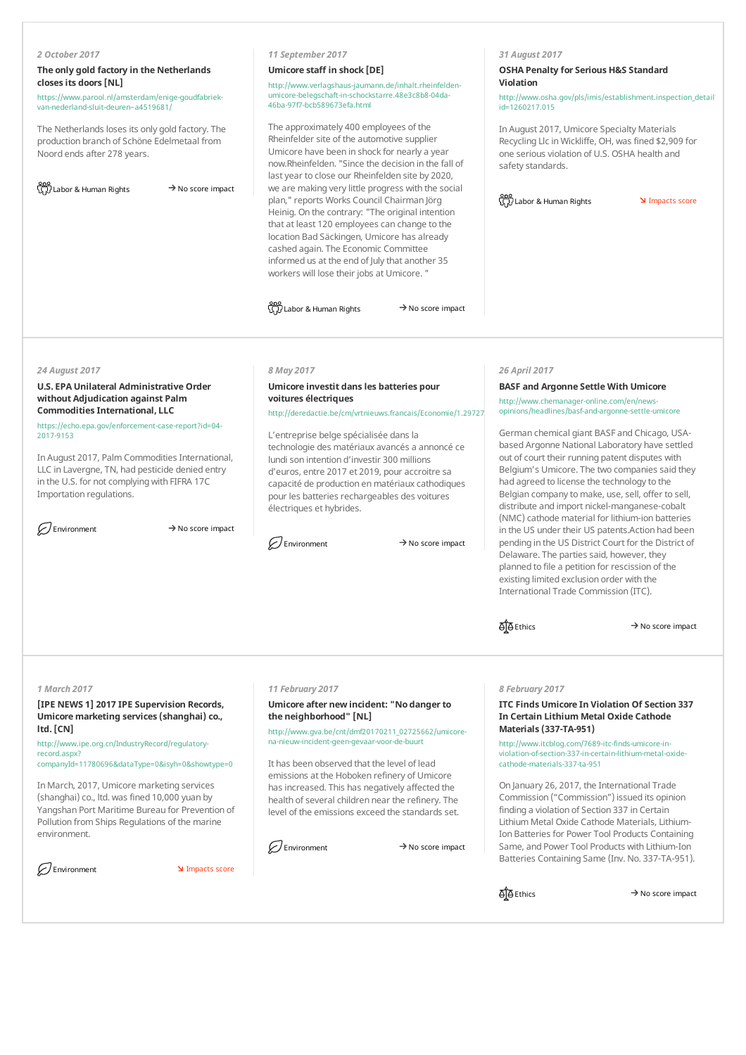# *2 October 2017*

# **The only gold factory in the Netherlands closesits doors[NL]**

https://www.parool.nl/amsterdam/enige-goudfabriekvan-nederland-sluit-deuren~a4519681/

The Netherlands loses its only gold factory. The production branch of Schöne Edelmetaal from Noord ends after 278 years.

| <u>၀၀၀</u><br>ယူဉ် Labor & Human Rights | $\rightarrow$ No score impact |
|-----------------------------------------|-------------------------------|
|                                         |                               |

#### *11 September 2017*

#### **Umicore staff in shock [DE]**

http://www.verlagshaus-jaumann.de/inhalt.rheinfeldenumicore-belegschaft-in-schockstarre.48e3c8b8-04da-46ba-97f7-bcb589673efa.html

The approximately 400 employees of the Rheinfelder site of the automotive supplier Umicore have been in shock for nearly a year now.Rheinfelden."Since the decision in the fall of last year to close our Rheinfelden site by 2020, we are making very little progress with the social plan," reports Works Council Chairman Jörg Heinig. On the contrary: "The original intention that at least 120 employees can change to the location Bad Säckingen, Umicore has already cashed again. The Economic Committee informed us at the end of July that another 35 workers will lose their jobs at Umicore."

 $\frac{800}{\sqrt{1}}$ Labor & Human Rights  $\rightarrow$  No score impact

#### *31 August 2017*

# **OSHA Penalty for Serious H&S Standard Violation**

http://www.osha.gov/pls/imis/establishment.inspection\_detail? id=1260217.015

In August 2017, Umicore Specialty Materials Recycling Llc inWickliffe, OH, was fined \$2,909 for one serious violation of U.S. OSHA health and safety standards.

 $\frac{800}{32}$ Labor & Human Rights **Impacts score** 

#### *24 August 2017*

# **U.S. EPA Unilateral Administrative Order without Adjudication against Palm CommoditiesInternational, LLC**

https://echo.epa.gov/enforcement-case-report?id=04- 2017-9153

In August 2017, Palm Commodities International, LLC in Lavergne, TN, had pesticide denied entry in the U.S. for not complying with FIFRA 17C Importation regulations.

 $\oslash$  Environment  $\rightarrow$  No score impact

#### *8 May 2017*

# **Umicore investit dansles batteries pour voitures électriques**

http://deredactie.be/cm/vrtnieuws.francais/Economie/1.29727

L'entreprise belge spécialisée dans la technologie des matériaux avancés a annoncé ce lundi son intention d'investir 300 millions d'euros, entre 2017 et 2019, pour accroitre sa capacité de production en matériaux cathodiques pour les batteries rechargeables des voitures électriques et hybrides.

 $\mathcal{D}$  Environment  $\rightarrow$  No score impact

#### *26 April 2017*

# **BASF and Argonne Settle With Umicore**

http://www.chemanager-online.com/en/newsopinions/headlines/basf-and-argonne-settle-umicore

German chemical giant BASF and Chicago, USAbased Argonne National Laboratory have settled out of court their running patent disputes with Belgium's Umicore. The two companies said they had agreed to license the technology to the Belgian company to make, use, sell, offer to sell, distribute and import nickel-manganese-cobalt (NMC)cathode material for lithium-ion batteries in the US under their US patents.Action had been pending in the US District Court for the District of Delaware. The parties said, however, they planned to file a petition for rescission of the existing limited exclusion order with the International Trade Commission (ITC).

**ITC Finds Umicore In Violation Of Section 337 In Certain Lithium Metal Oxide Cathode**

http://www.itcblog.com/7689-itc-finds-umicore-inviolation-of-section-337-in-certain-lithium-metal-oxide-

On January 26, 2017, the International Trade Commission ("Commission") issued its opinion

*8 February 2017*

**Materials(337-TA-951)**

cathode-materials-337-ta-951

 $\overrightarrow{AB}$  Ethics  $\rightarrow$  No score impact

#### *1 March 2017*

**[IPE NEWS 1] 2017 IPE Supervision Records, Umicore marketing services(shanghai) co., ltd. [CN]**

http://www.ipe.org.cn/IndustryRecord/regulatoryrecord.aspx? companyId=11780696&dataType=0&isyh=0&showtype=0

InMarch, 2017, Umicore marketing services (shanghai) co., ltd. was fined 10,000 yuan by Yangshan Port Maritime Bureau for Prevention of Pollution from Ships Regulations of the marine environment.

| Environment |
|-------------|
|             |

 $\sum$  Impacts score

#### *11 February 2017*

# **Umicore after newincident:"No dangerto the neighborhood"[NL]**

http://www.gva.be/cnt/dmf20170211\_02725662/umicorena-nieuw-incident-geen-gevaar-voor-de-buurt

It has been observed that the level of lead emissions at the Hoboken refinery of Umicore has increased. This has negatively affected the health of several children near the refinery. The level of the emissions exceed the standards set.

#### $\mathcal{D}$  Environment  $\rightarrow$  No score impact

finding a violation of Section 337 in Certain Lithium Metal Oxide Cathode Materials, Lithium-Ion Batteries for Power Tool Products Containing Same, and Power Tool Products with Lithium-Ion Batteries Containing Same (Inv. No. 337-TA-951).

 $\overrightarrow{O}$ Ethics  $\rightarrow$  No score impact